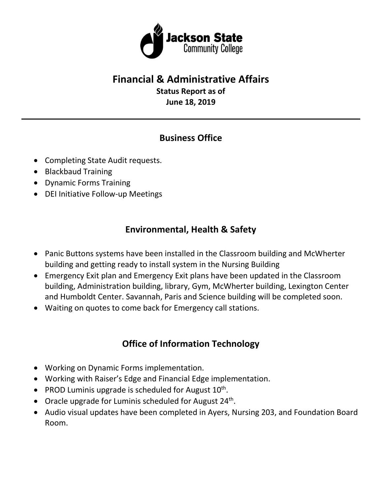

# **Financial & Administrative Affairs**

**Status Report as of June 18, 2019**

### **Business Office**

- Completing State Audit requests.
- Blackbaud Training
- Dynamic Forms Training
- DEI Initiative Follow-up Meetings

## **Environmental, Health & Safety**

- Panic Buttons systems have been installed in the Classroom building and McWherter building and getting ready to install system in the Nursing Building
- Emergency Exit plan and Emergency Exit plans have been updated in the Classroom building, Administration building, library, Gym, McWherter building, Lexington Center and Humboldt Center. Savannah, Paris and Science building will be completed soon.
- Waiting on quotes to come back for Emergency call stations.

## **Office of Information Technology**

- Working on Dynamic Forms implementation.
- Working with Raiser's Edge and Financial Edge implementation.
- PROD Luminis upgrade is scheduled for August  $10^{th}$ .
- Oracle upgrade for Luminis scheduled for August  $24<sup>th</sup>$ .
- Audio visual updates have been completed in Ayers, Nursing 203, and Foundation Board Room.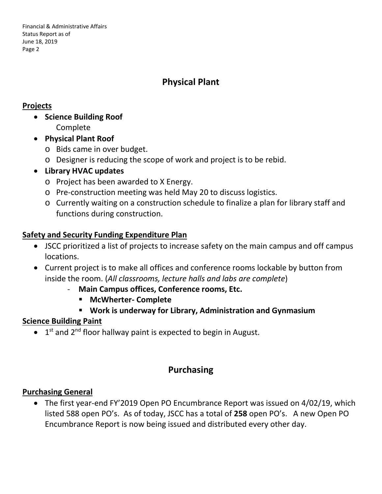Financial & Administrative Affairs Status Report as of June 18, 2019 Page 2

### **Physical Plant**

#### **Projects**

- **Science Building Roof** Complete
- **Physical Plant Roof**
	- o Bids came in over budget.
	- o Designer is reducing the scope of work and project is to be rebid.
- **Library HVAC updates**
	- o Project has been awarded to X Energy.
	- o Pre-construction meeting was held May 20 to discuss logistics.
	- o Currently waiting on a construction schedule to finalize a plan for library staff and functions during construction.

#### **Safety and Security Funding Expenditure Plan**

- JSCC prioritized a list of projects to increase safety on the main campus and off campus locations.
- Current project is to make all offices and conference rooms lockable by button from inside the room. (*All classrooms, lecture halls and labs are complete*)
	- **Main Campus offices, Conference rooms, Etc.**
		- **McWherter- Complete**
		- **Work is underway for Library, Administration and Gynmasium**

#### **Science Building Paint**

 $\bullet$  1<sup>st</sup> and 2<sup>nd</sup> floor hallway paint is expected to begin in August.

### **Purchasing**

#### **Purchasing General**

• The first year-end FY'2019 Open PO Encumbrance Report was issued on 4/02/19, which listed 588 open PO's. As of today, JSCC has a total of **258** open PO's. A new Open PO Encumbrance Report is now being issued and distributed every other day.